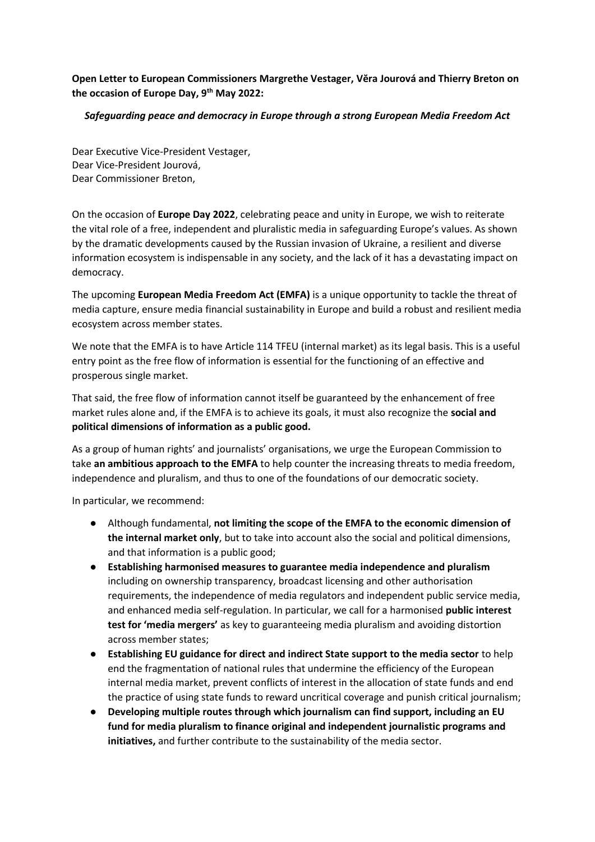**Open Letter to European Commissioners Margrethe Vestager, Vĕra Jourová and Thierry Breton on the occasion of Europe Day, 9th May 2022:** 

## *Safeguarding peace and democracy in Europe through a strong European Media Freedom Act*

Dear Executive Vice-President Vestager, Dear Vice-President Jourová, Dear Commissioner Breton,

On the occasion of **Europe Day 2022**, celebrating peace and unity in Europe, we wish to reiterate the vital role of a free, independent and pluralistic media in safeguarding Europe's values. As shown by the dramatic developments caused by the Russian invasion of Ukraine, a resilient and diverse information ecosystem is indispensable in any society, and the lack of it has a devastating impact on democracy.

The upcoming **European Media Freedom Act (EMFA)** is a unique opportunity to tackle the threat of media capture, ensure media financial sustainability in Europe and build a robust and resilient media ecosystem across member states.

We note that the EMFA is to have Article 114 TFEU (internal market) as its legal basis. This is a useful entry point as the free flow of information is essential for the functioning of an effective and prosperous single market.

That said, the free flow of information cannot itself be guaranteed by the enhancement of free market rules alone and, if the EMFA is to achieve its goals, it must also recognize the **social and political dimensions of information as a public good.**

As a group of human rights' and journalists' organisations, we urge the European Commission to take **an ambitious approach to the EMFA** to help counter the increasing threats to media freedom, independence and pluralism, and thus to one of the foundations of our democratic society.

In particular, we recommend:

- Although fundamental, **not limiting the scope of the EMFA to the economic dimension of the internal market only**, but to take into account also the social and political dimensions, and that information is a public good;
- **Establishing harmonised measures to guarantee media independence and pluralism** including on ownership transparency, broadcast licensing and other authorisation requirements, the independence of media regulators and independent public service media, and enhanced media self-regulation. In particular, we call for a harmonised **public interest test for 'media mergers'** as key to guaranteeing media pluralism and avoiding distortion across member states;
- **Establishing EU guidance for direct and indirect State support to the media sector** to help end the fragmentation of national rules that undermine the efficiency of the European internal media market, prevent conflicts of interest in the allocation of state funds and end the practice of using state funds to reward uncritical coverage and punish critical journalism;
- **Developing multiple routes through which journalism can find support, including an EU fund for media pluralism to finance original and independent journalistic programs and initiatives,** and further contribute to the sustainability of the media sector.